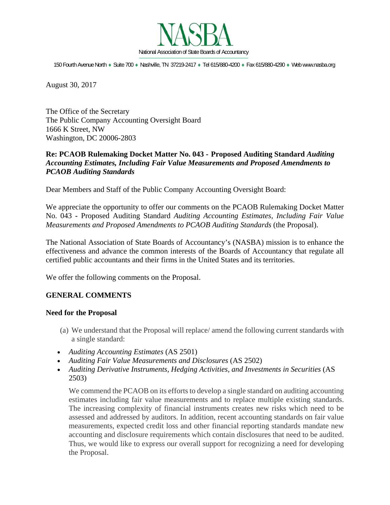

150 Fourth Avenue North · Suite 700 · Nashville, TN 37219-2417 · Tel 615/880-4200 · Fax 615/880-4290 · Web www.nasba.org

August 30, 2017

The Office of the Secretary The Public Company Accounting Oversight Board 1666 K Street, NW Washington, DC 20006-2803

# **Re: PCAOB Rulemaking Docket Matter No. 043 - Proposed Auditing Standard** *Auditing Accounting Estimates, Including Fair Value Measurements and Proposed Amendments to PCAOB Auditing Standards*

Dear Members and Staff of the Public Company Accounting Oversight Board:

We appreciate the opportunity to offer our comments on the PCAOB Rulemaking Docket Matter No. 043 **-** Proposed Auditing Standard *Auditing Accounting Estimates, Including Fair Value Measurements and Proposed Amendments to PCAOB Auditing Standards* (the Proposal).

The National Association of State Boards of Accountancy's (NASBA) mission is to enhance the effectiveness and advance the common interests of the Boards of Accountancy that regulate all certified public accountants and their firms in the United States and its territories.

We offer the following comments on the Proposal.

# **GENERAL COMMENTS**

### **Need for the Proposal**

- (a) We understand that the Proposal will replace/ amend the following current standards with a single standard:
- *Auditing Accounting Estimates* (AS 2501)
- *Auditing Fair Value Measurements and Disclosures* (AS 2502)
- *Auditing Derivative Instruments, Hedging Activities, and Investments in Securities* (AS 2503)

We commend the PCAOB on its efforts to develop a single standard on auditing accounting estimates including fair value measurements and to replace multiple existing standards. The increasing complexity of financial instruments creates new risks which need to be assessed and addressed by auditors. In addition, recent accounting standards on fair value measurements, expected credit loss and other financial reporting standards mandate new accounting and disclosure requirements which contain disclosures that need to be audited. Thus, we would like to express our overall support for recognizing a need for developing the Proposal.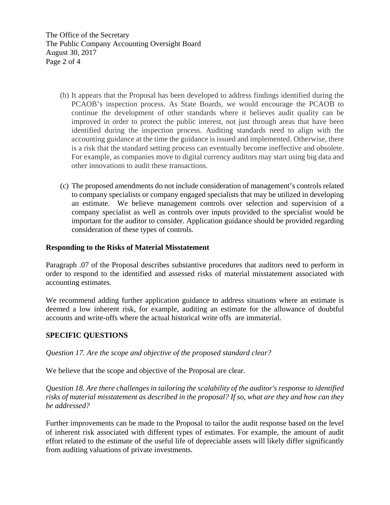The Office of the Secretary The Public Company Accounting Oversight Board August 30, 2017 Page 2 of 4

- (b) It appears that the Proposal has been developed to address findings identified during the PCAOB's inspection process. As State Boards, we would encourage the PCAOB to continue the development of other standards where it believes audit quality can be improved in order to protect the public interest, not just through areas that have been identified during the inspection process. Auditing standards need to align with the accounting guidance at the time the guidance is issued and implemented. Otherwise, there is a risk that the standard setting process can eventually become ineffective and obsolete. For example, as companies move to digital currency auditors may start using big data and other innovations to audit these transactions.
- (c) The proposed amendments do not include consideration of management's controls related to company specialists or company engaged specialists that may be utilized in developing an estimate. We believe management controls over selection and supervision of a company specialist as well as controls over inputs provided to the specialist would be important for the auditor to consider. Application guidance should be provided regarding consideration of these types of controls.

### **Responding to the Risks of Material Misstatement**

Paragraph .07 of the Proposal describes substantive procedures that auditors need to perform in order to respond to the identified and assessed risks of material misstatement associated with accounting estimates.

We recommend adding further application guidance to address situations where an estimate is deemed a low inherent risk, for example, auditing an estimate for the allowance of doubtful accounts and write-offs where the actual historical write offs are immaterial.

### **SPECIFIC QUESTIONS**

*Question 17. Are the scope and objective of the proposed standard clear?* 

We believe that the scope and objective of the Proposal are clear.

*Question 18. Are there challenges in tailoring the scalability of the auditor's response to identified risks of material misstatement as described in the proposal? If so, what are they and how can they be addressed?* 

Further improvements can be made to the Proposal to tailor the audit response based on the level of inherent risk associated with different types of estimates. For example, the amount of audit effort related to the estimate of the useful life of depreciable assets will likely differ significantly from auditing valuations of private investments.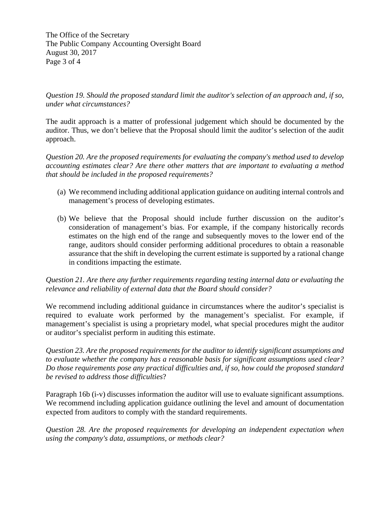The Office of the Secretary The Public Company Accounting Oversight Board August 30, 2017 Page 3 of 4

*Question 19. Should the proposed standard limit the auditor's selection of an approach and, if so, under what circumstances?* 

The audit approach is a matter of professional judgement which should be documented by the auditor. Thus, we don't believe that the Proposal should limit the auditor's selection of the audit approach.

*Question 20. Are the proposed requirements for evaluating the company's method used to develop accounting estimates clear? Are there other matters that are important to evaluating a method that should be included in the proposed requirements?* 

- (a) We recommend including additional application guidance on auditing internal controls and management's process of developing estimates.
- (b) We believe that the Proposal should include further discussion on the auditor's consideration of management's bias. For example, if the company historically records estimates on the high end of the range and subsequently moves to the lower end of the range, auditors should consider performing additional procedures to obtain a reasonable assurance that the shift in developing the current estimate is supported by a rational change in conditions impacting the estimate.

# *Question 21. Are there any further requirements regarding testing internal data or evaluating the relevance and reliability of external data that the Board should consider?*

We recommend including additional guidance in circumstances where the auditor's specialist is required to evaluate work performed by the management's specialist. For example, if management's specialist is using a proprietary model, what special procedures might the auditor or auditor's specialist perform in auditing this estimate.

*Question 23. Are the proposed requirements for the auditor to identify significant assumptions and to evaluate whether the company has a reasonable basis for significant assumptions used clear? Do those requirements pose any practical difficulties and, if so, how could the proposed standard be revised to address those difficulties*?

Paragraph 16b (i-v) discusses information the auditor will use to evaluate significant assumptions. We recommend including application guidance outlining the level and amount of documentation expected from auditors to comply with the standard requirements.

*Question 28. Are the proposed requirements for developing an independent expectation when using the company's data, assumptions, or methods clear?*